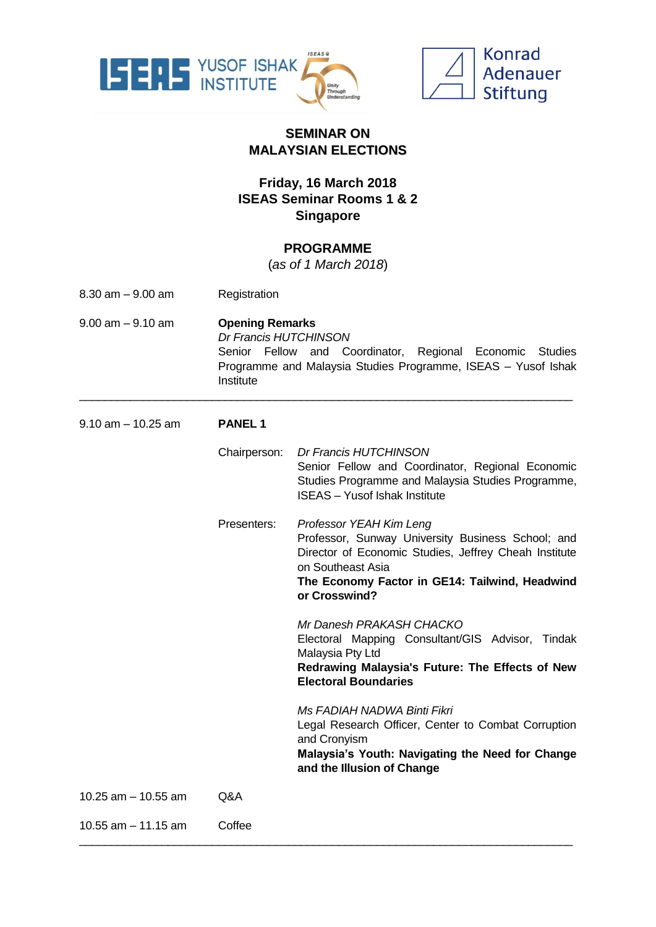



## **SEMINAR ON MALAYSIAN ELECTIONS**

## **Friday, 16 March 2018 ISEAS Seminar Rooms 1 & 2 Singapore**

## **PROGRAMME**

(*as of 1 March 2018*)

- 8.30 am 9.00 am Registration
- 9.00 am 9.10 am **Opening Remarks** *Dr Francis HUTCHINSON* Senior Fellow and Coordinator, Regional Economic Studies Programme and Malaysia Studies Programme, ISEAS – Yusof Ishak **Institute**

\_\_\_\_\_\_\_\_\_\_\_\_\_\_\_\_\_\_\_\_\_\_\_\_\_\_\_\_\_\_\_\_\_\_\_\_\_\_\_\_\_\_\_\_\_\_\_\_\_\_\_\_\_\_\_\_\_\_\_\_\_\_\_\_\_\_\_\_\_\_\_\_\_\_\_\_\_\_

9.10 am – 10.25 am **PANEL 1**

Chairperson: *Dr Francis HUTCHINSON* Senior Fellow and Coordinator, Regional Economic Studies Programme and Malaysia Studies Programme, ISEAS – Yusof Ishak Institute Presenters: *Professor YEAH Kim Leng* Professor, Sunway University Business School; and Director of Economic Studies, Jeffrey Cheah Institute on Southeast Asia **The Economy Factor in GE14: Tailwind, Headwind or Crosswind?** *Mr Danesh PRAKASH CHACKO* Electoral Mapping Consultant/GIS Advisor, Tindak Malaysia Pty Ltd **Redrawing Malaysia's Future: The Effects of New Electoral Boundaries** *Ms FADIAH NADWA Binti Fikri* Legal Research Officer, Center to Combat Corruption and Cronyism **Malaysia's Youth: Navigating the Need for Change and the Illusion of Change** 10.25 am – 10.55 am Q&A 10.55 am – 11.15 am Coffee

\_\_\_\_\_\_\_\_\_\_\_\_\_\_\_\_\_\_\_\_\_\_\_\_\_\_\_\_\_\_\_\_\_\_\_\_\_\_\_\_\_\_\_\_\_\_\_\_\_\_\_\_\_\_\_\_\_\_\_\_\_\_\_\_\_\_\_\_\_\_\_\_\_\_\_\_\_\_